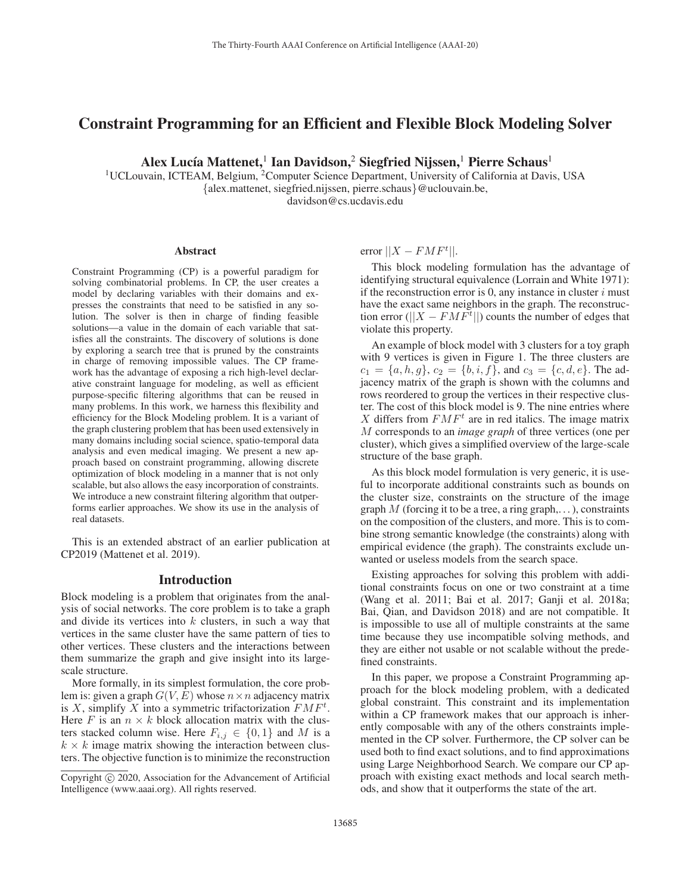# Constraint Programming for an Efficient and Flexible Block Modeling Solver

Alex Lucía Mattenet,<sup>1</sup> Ian Davidson,<sup>2</sup> Siegfried Nijssen,<sup>1</sup> Pierre Schaus<sup>1</sup>

<sup>1</sup>UCLouvain, ICTEAM, Belgium, <sup>2</sup>Computer Science Department, University of California at Davis, USA {alex.mattenet, siegfried.nijssen, pierre.schaus}@uclouvain.be,

davidson@cs.ucdavis.edu

#### **Abstract**

Constraint Programming (CP) is a powerful paradigm for solving combinatorial problems. In CP, the user creates a model by declaring variables with their domains and expresses the constraints that need to be satisfied in any solution. The solver is then in charge of finding feasible solutions—a value in the domain of each variable that satisfies all the constraints. The discovery of solutions is done by exploring a search tree that is pruned by the constraints in charge of removing impossible values. The CP framework has the advantage of exposing a rich high-level declarative constraint language for modeling, as well as efficient purpose-specific filtering algorithms that can be reused in many problems. In this work, we harness this flexibility and efficiency for the Block Modeling problem. It is a variant of the graph clustering problem that has been used extensively in many domains including social science, spatio-temporal data analysis and even medical imaging. We present a new approach based on constraint programming, allowing discrete optimization of block modeling in a manner that is not only scalable, but also allows the easy incorporation of constraints. We introduce a new constraint filtering algorithm that outperforms earlier approaches. We show its use in the analysis of real datasets.

This is an extended abstract of an earlier publication at CP2019 (Mattenet et al. 2019).

## Introduction

Block modeling is a problem that originates from the analysis of social networks. The core problem is to take a graph and divide its vertices into  $k$  clusters, in such a way that vertices in the same cluster have the same pattern of ties to other vertices. These clusters and the interactions between them summarize the graph and give insight into its largescale structure.

More formally, in its simplest formulation, the core problem is: given a graph  $G(V, E)$  whose  $n \times n$  adjacency matrix is X, simplify X into a symmetric trifactorization  $FMF^t$ . Here F is an  $n \times k$  block allocation matrix with the clusters stacked column wise. Here  $F_{i,j} \in \{0,1\}$  and M is a  $k \times k$  image matrix showing the interaction between clusters. The objective function is to minimize the reconstruction

error  $||X - FMF<sup>t</sup>||$ .

This block modeling formulation has the advantage of identifying structural equivalence (Lorrain and White 1971): if the reconstruction error is 0, any instance in cluster  $i$  must have the exact same neighbors in the graph. The reconstruction error ( $\left|\left|X - F M F^{t}\right|\right|$ ) counts the number of edges that violate this property.

An example of block model with 3 clusters for a toy graph with 9 vertices is given in Figure 1. The three clusters are  $c_1 = \{a, h, g\}, c_2 = \{b, i, f\}, \text{ and } c_3 = \{c, d, e\}.$  The adjacency matrix of the graph is shown with the columns and rows reordered to group the vertices in their respective cluster. The cost of this block model is 9. The nine entries where X differs from  $FMF<sup>t</sup>$  are in red italics. The image matrix M corresponds to an *image graph* of three vertices (one per cluster), which gives a simplified overview of the large-scale structure of the base graph.

As this block model formulation is very generic, it is useful to incorporate additional constraints such as bounds on the cluster size, constraints on the structure of the image graph  $M$  (forcing it to be a tree, a ring graph,...), constraints on the composition of the clusters, and more. This is to combine strong semantic knowledge (the constraints) along with empirical evidence (the graph). The constraints exclude unwanted or useless models from the search space.

Existing approaches for solving this problem with additional constraints focus on one or two constraint at a time (Wang et al. 2011; Bai et al. 2017; Ganji et al. 2018a; Bai, Qian, and Davidson 2018) and are not compatible. It is impossible to use all of multiple constraints at the same time because they use incompatible solving methods, and they are either not usable or not scalable without the predefined constraints.

In this paper, we propose a Constraint Programming approach for the block modeling problem, with a dedicated global constraint. This constraint and its implementation within a CP framework makes that our approach is inherently composable with any of the others constraints implemented in the CP solver. Furthermore, the CP solver can be used both to find exact solutions, and to find approximations using Large Neighborhood Search. We compare our CP approach with existing exact methods and local search methods, and show that it outperforms the state of the art.

Copyright  $\odot$  2020, Association for the Advancement of Artificial Intelligence (www.aaai.org). All rights reserved.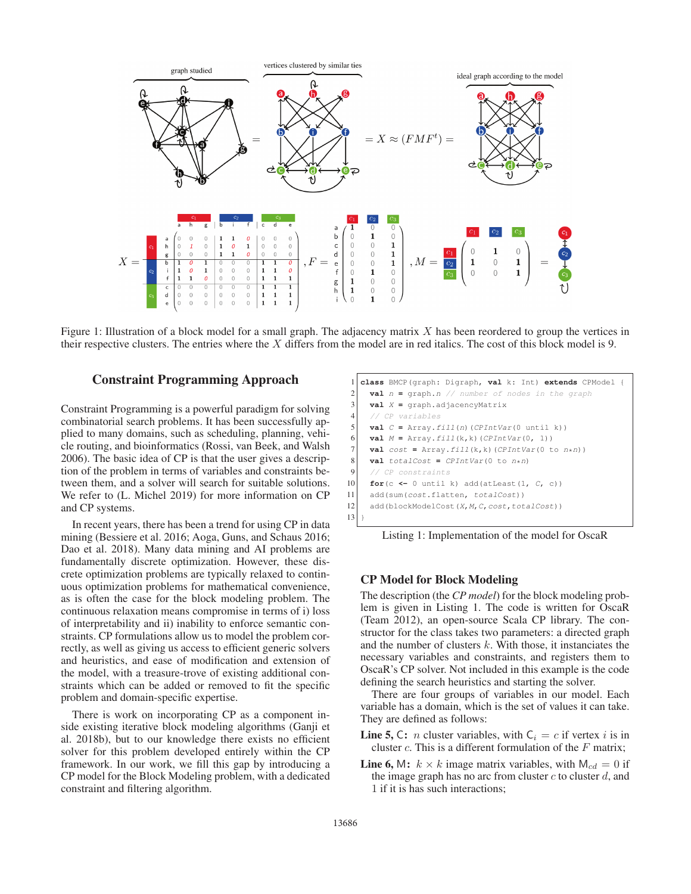

Figure 1: Illustration of a block model for a small graph. The adjacency matrix  $X$  has been reordered to group the vertices in their respective clusters. The entries where the  $X$  differs from the model are in red italics. The cost of this block model is 9.

## Constraint Programming Approach

Constraint Programming is a powerful paradigm for solving combinatorial search problems. It has been successfully applied to many domains, such as scheduling, planning, vehicle routing, and bioinformatics (Rossi, van Beek, and Walsh 2006). The basic idea of CP is that the user gives a description of the problem in terms of variables and constraints between them, and a solver will search for suitable solutions. We refer to (L. Michel 2019) for more information on CP and CP systems.

In recent years, there has been a trend for using CP in data mining (Bessiere et al. 2016; Aoga, Guns, and Schaus 2016; Dao et al. 2018). Many data mining and AI problems are fundamentally discrete optimization. However, these discrete optimization problems are typically relaxed to continuous optimization problems for mathematical convenience, as is often the case for the block modeling problem. The continuous relaxation means compromise in terms of i) loss of interpretability and ii) inability to enforce semantic constraints. CP formulations allow us to model the problem correctly, as well as giving us access to efficient generic solvers and heuristics, and ease of modification and extension of the model, with a treasure-trove of existing additional constraints which can be added or removed to fit the specific problem and domain-specific expertise.

There is work on incorporating CP as a component inside existing iterative block modeling algorithms (Ganji et al. 2018b), but to our knowledge there exists no efficient solver for this problem developed entirely within the CP framework. In our work, we fill this gap by introducing a CP model for the Block Modeling problem, with a dedicated constraint and filtering algorithm.

|                | class BMCP (graph: Digraph, val k: Int) extends CPModel {   |
|----------------|-------------------------------------------------------------|
| $\overline{2}$ | <b>val</b> $n =$ qraph.n // number of nodes in the graph    |
| 3              | $val$ $X = graph.addiacencyMatrix$                          |
| $\overline{4}$ | // CP variables                                             |
| 5              | <b>val</b> $C = \text{Array}.fill(n) (CPIntVar(0 until k))$ |
| 6              | <b>val</b> $M = \text{Array}.fill(k,k) (CPIntVar(0, 1))$    |
| $\tau$         | <b>val</b> $cost = Array, fill(k, k) (CPIntVar(0 to n*n))$  |
| 8              | <b>val</b> totalCost = CPIntVar(0 to $n*n$ )                |
| $\overline{9}$ | // CP constraints                                           |
| 10             | for $(c \le 0$ until k) add (at Least $(1, C, c)$ )         |
| 11             | add(sum(cost.flatten, totalCost))                           |
| 12             | add(blockModelCost(X, M, C, cost, totalCost))               |
| 13             |                                                             |

Listing 1: Implementation of the model for OscaR

### CP Model for Block Modeling

The description (the *CP model*) for the block modeling problem is given in Listing 1. The code is written for OscaR (Team 2012), an open-source Scala CP library. The constructor for the class takes two parameters: a directed graph and the number of clusters  $k$ . With those, it instanciates the necessary variables and constraints, and registers them to OscaR's CP solver. Not included in this example is the code defining the search heuristics and starting the solver.

There are four groups of variables in our model. Each variable has a domain, which is the set of values it can take. They are defined as follows:

- **Line 5, C:** *n* cluster variables, with  $C_i = c$  if vertex *i* is in cluster  $c$ . This is a different formulation of the  $F$  matrix;
- **Line 6,** M:  $k \times k$  image matrix variables, with  $M_{cd} = 0$  if the image graph has no arc from cluster  $c$  to cluster  $d$ , and 1 if it is has such interactions;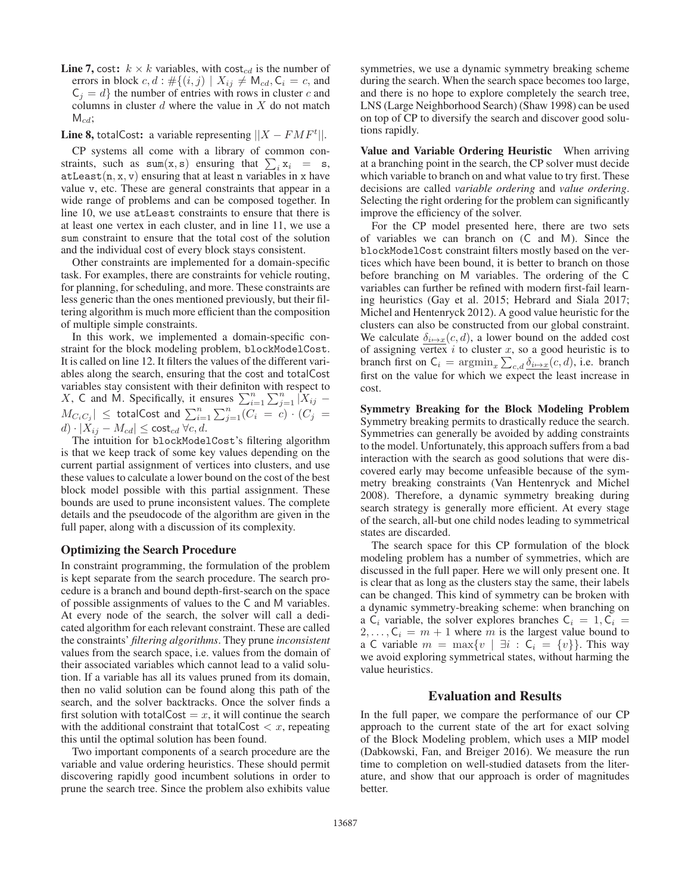Line 7, cost:  $k \times k$  variables, with cost<sub>cd</sub> is the number of errors in block  $c, d : \# \{(i, j) \mid X_{ij} \neq \mathsf{M}_{cd}, \mathsf{C}_i = c$ , and  $C_i = d$  the number of entries with rows in cluster c and columns in cluster  $d$  where the value in  $X$  do not match  $M_{cd}$ ;

**Line 8,** totalCost: a variable representing  $||X - FMF^t||$ .

CP systems all come with a library of common constraints, such as  $\text{sum}(x, s)$  ensuring that  $\sum_i x_i = s$ ,<br>at Least (n x y) ensuring that at least n variables in x have  $attleast(n, x, v)$  ensuring that at least n variables in x have value v, etc. These are general constraints that appear in a wide range of problems and can be composed together. In line 10, we use atLeast constraints to ensure that there is at least one vertex in each cluster, and in line 11, we use a sum constraint to ensure that the total cost of the solution and the individual cost of every block stays consistent.

Other constraints are implemented for a domain-specific task. For examples, there are constraints for vehicle routing, for planning, for scheduling, and more. These constraints are less generic than the ones mentioned previously, but their filtering algorithm is much more efficient than the composition of multiple simple constraints.

In this work, we implemented a domain-specific constraint for the block modeling problem, blockModelCost. It is called on line 12. It filters the values of the different variables along the search, ensuring that the cost and totalCost variables stay consistent with their definiton with respect to X, C and M. Specifically, it ensures  $\sum_{i=1}^{n} \sum_{j=1}^{n} |X_{ij} |M_{C_iC_j}| \leq \text{totalCost}$  and  $\sum_{i=1}^n \sum_{j=1}^n (C_i = c) \cdot (C_j = d)$  $d) \cdot |X_{ij} - M_{cd}| \leq \textsf{cost}_{cd} \ \forall c, d.$ 

The intuition for blockModelCost's filtering algorithm is that we keep track of some key values depending on the current partial assignment of vertices into clusters, and use these values to calculate a lower bound on the cost of the best block model possible with this partial assignment. These bounds are used to prune inconsistent values. The complete details and the pseudocode of the algorithm are given in the full paper, along with a discussion of its complexity.

#### Optimizing the Search Procedure

In constraint programming, the formulation of the problem is kept separate from the search procedure. The search procedure is a branch and bound depth-first-search on the space of possible assignments of values to the C and M variables. At every node of the search, the solver will call a dedicated algorithm for each relevant constraint. These are called the constraints' *filtering algorithms*. They prune *inconsistent* values from the search space, i.e. values from the domain of their associated variables which cannot lead to a valid solution. If a variable has all its values pruned from its domain, then no valid solution can be found along this path of the search, and the solver backtracks. Once the solver finds a first solution with totalCost =  $x$ , it will continue the search with the additional constraint that totalCost  $\langle x, x \rangle$  repeating this until the optimal solution has been found.

Two important components of a search procedure are the variable and value ordering heuristics. These should permit discovering rapidly good incumbent solutions in order to prune the search tree. Since the problem also exhibits value

symmetries, we use a dynamic symmetry breaking scheme during the search. When the search space becomes too large, and there is no hope to explore completely the search tree, LNS (Large Neighborhood Search) (Shaw 1998) can be used on top of CP to diversify the search and discover good solutions rapidly.

Value and Variable Ordering Heuristic When arriving at a branching point in the search, the CP solver must decide which variable to branch on and what value to try first. These decisions are called *variable ordering* and *value ordering*. Selecting the right ordering for the problem can significantly improve the efficiency of the solver.

For the CP model presented here, there are two sets of variables we can branch on (C and M). Since the blockModelCost constraint filters mostly based on the vertices which have been bound, it is better to branch on those before branching on M variables. The ordering of the C variables can further be refined with modern first-fail learning heuristics (Gay et al. 2015; Hebrard and Siala 2017; Michel and Hentenryck 2012). A good value heuristic for the clusters can also be constructed from our global constraint. We calculate  $\delta_{i\mapsto x}(c, d)$ , a lower bound on the added cost of assigning vertex i to cluster x so a good heuristic is to of assigning vertex  $i$  to cluster  $x$ , so a good heuristic is to branch first on  $C_i = \operatorname{argmin}_x \sum_{c,d} \delta_{i \mapsto x}(c, d)$ , i.e. branch<br>first on the value for which we expect the least increase in first on the value for which we expect the least increase in cost.

Symmetry Breaking for the Block Modeling Problem Symmetry breaking permits to drastically reduce the search. Symmetries can generally be avoided by adding constraints to the model. Unfortunately, this approach suffers from a bad interaction with the search as good solutions that were discovered early may become unfeasible because of the symmetry breaking constraints (Van Hentenryck and Michel 2008). Therefore, a dynamic symmetry breaking during search strategy is generally more efficient. At every stage of the search, all-but one child nodes leading to symmetrical states are discarded.

The search space for this CP formulation of the block modeling problem has a number of symmetries, which are discussed in the full paper. Here we will only present one. It is clear that as long as the clusters stay the same, their labels can be changed. This kind of symmetry can be broken with a dynamic symmetry-breaking scheme: when branching on a C<sub>i</sub> variable, the solver explores branches C<sub>i</sub> = 1, C<sub>i</sub> =  $2, \ldots, C_i = m + 1$  where m is the largest value bound to a C variable  $m = \max\{v \mid \exists i : C_i = \{v\}\}\)$ . This way we avoid exploring symmetrical states, without harming the value heuristics.

### Evaluation and Results

In the full paper, we compare the performance of our CP approach to the current state of the art for exact solving of the Block Modeling problem, which uses a MIP model (Dabkowski, Fan, and Breiger 2016). We measure the run time to completion on well-studied datasets from the literature, and show that our approach is order of magnitudes better.